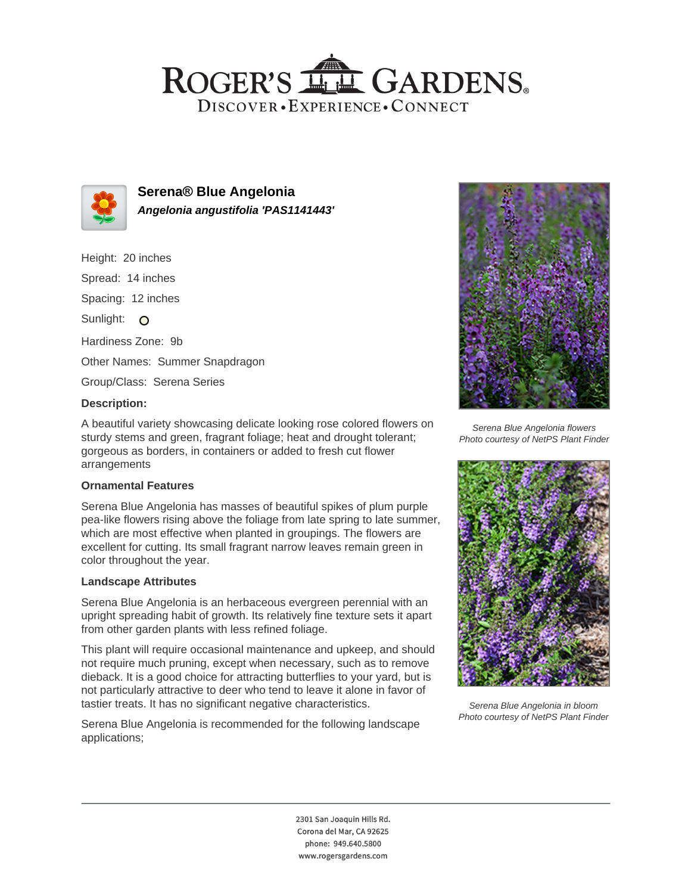## ROGER'S LL GARDENS. DISCOVER · EXPERIENCE · CONNECT



**Serena® Blue Angelonia Angelonia angustifolia 'PAS1141443'**

Height: 20 inches

Spread: 14 inches

Spacing: 12 inches

Sunlight: O

Hardiness Zone: 9b

Other Names: Summer Snapdragon

Group/Class: Serena Series

### **Description:**

A beautiful variety showcasing delicate looking rose colored flowers on sturdy stems and green, fragrant foliage; heat and drought tolerant; gorgeous as borders, in containers or added to fresh cut flower arrangements

### **Ornamental Features**

Serena Blue Angelonia has masses of beautiful spikes of plum purple pea-like flowers rising above the foliage from late spring to late summer, which are most effective when planted in groupings. The flowers are excellent for cutting. Its small fragrant narrow leaves remain green in color throughout the year.

### **Landscape Attributes**

Serena Blue Angelonia is an herbaceous evergreen perennial with an upright spreading habit of growth. Its relatively fine texture sets it apart from other garden plants with less refined foliage.

This plant will require occasional maintenance and upkeep, and should not require much pruning, except when necessary, such as to remove dieback. It is a good choice for attracting butterflies to your yard, but is not particularly attractive to deer who tend to leave it alone in favor of tastier treats. It has no significant negative characteristics.

Serena Blue Angelonia is recommended for the following landscape applications;



Serena Blue Angelonia flowers Photo courtesy of NetPS Plant Finder



Serena Blue Angelonia in bloom Photo courtesy of NetPS Plant Finder

2301 San Joaquin Hills Rd. Corona del Mar, CA 92625 phone: 949.640.5800 www.rogersgardens.com